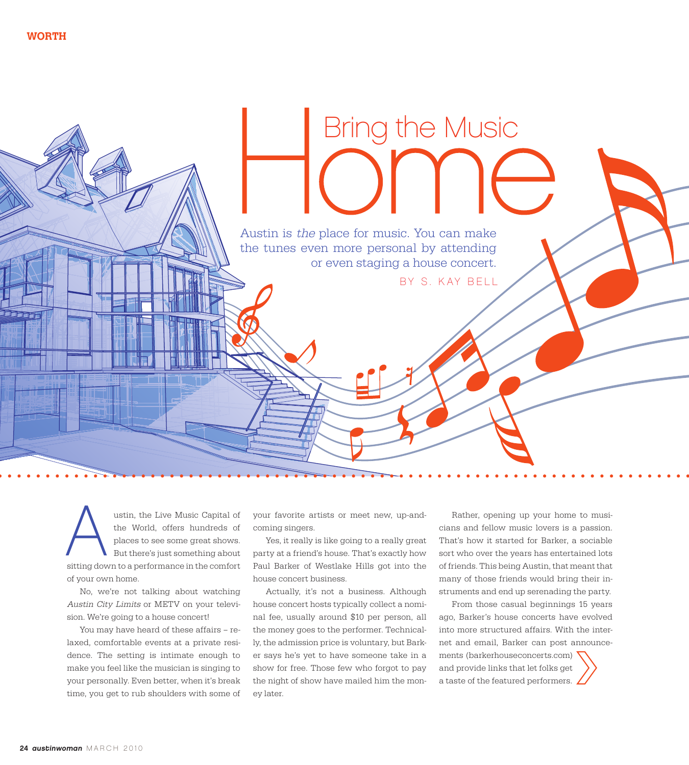Austin is the place for music. You can make the tunes even more personal by attending or even staging a house concert.

BY S. KAY BELL

Bring the Music

ustin, the Live Music Capital of the World, offers hundreds of places to see some great shows. But there's just something about ustin, the Live Music Capital of<br>the World, offers hundreds of<br>places to see some great shows.<br>But there's just something about<br>sitting down to a performance in the comfort of your own home.

No, we're not talking about watching Austin City Limits or METV on your television. We're going to a house concert!

You may have heard of these affairs – relaxed, comfortable events at a private residence. The setting is intimate enough to make you feel like the musician is singing to your personally. Even better, when it's break time, you get to rub shoulders with some of

your favorite artists or meet new, up-andcoming singers.

Yes, it really is like going to a really great party at a friend's house. That's exactly how Paul Barker of Westlake Hills got into the house concert business.

Actually, it's not a business. Although house concert hosts typically collect a nominal fee, usually around \$10 per person, all the money goes to the performer. Technically, the admission price is voluntary, but Barker says he's yet to have someone take in a show for free. Those few who forgot to pay the night of show have mailed him the money later.

Rather, opening up your home to musicians and fellow music lovers is a passion. That's how it started for Barker, a sociable sort who over the years has entertained lots of friends. This being Austin, that meant that many of those friends would bring their instruments and end up serenading the party.

From those casual beginnings 15 years ago, Barker's house concerts have evolved into more structured affairs. With the internet and email, Barker can post announcements (barkerhouseconcerts.com) and provide links that let folks get a taste of the featured performers.